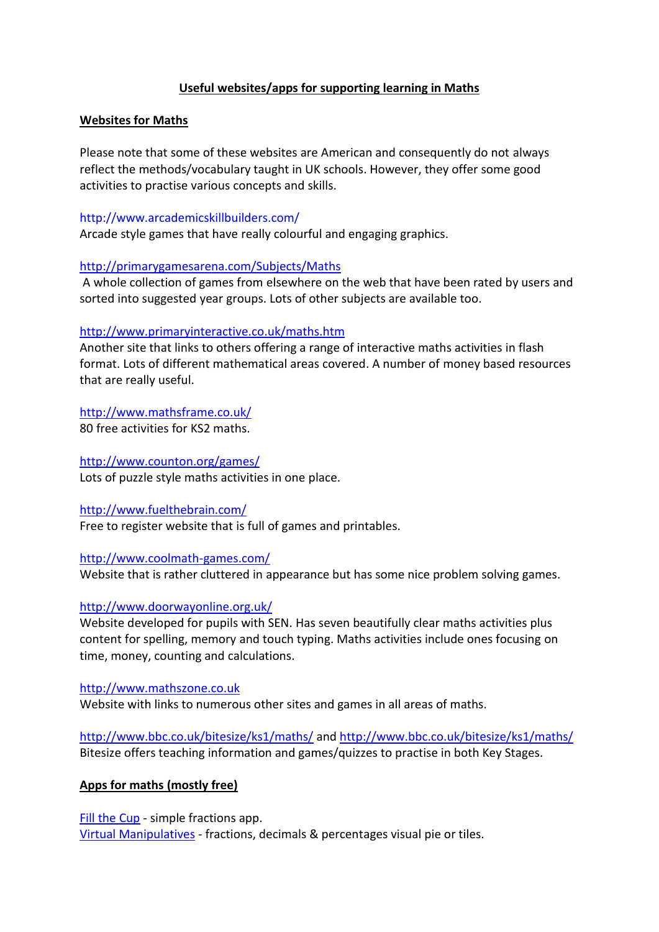# **Useful websites/apps for supporting learning in Maths**

## **Websites for Maths**

Please note that some of these websites are American and consequently do not always reflect the methods/vocabulary taught in UK schools. However, they offer some good activities to practise various concepts and skills.

### http://www.arcademicskillbuilders.com/

Arcade style games that have really colourful and engaging graphics.

## <http://primarygamesarena.com/Subjects/Maths>

A whole collection of games from elsewhere on the web that have been rated by users and sorted into suggested year groups. Lots of other subjects are available too.

## <http://www.primaryinteractive.co.uk/maths.htm>

Another site that links to others offering a range of interactive maths activities in flash format. Lots of different mathematical areas covered. A number of money based resources that are really useful.

# <http://www.mathsframe.co.uk/>

80 free activities for KS2 maths.

## <http://www.counton.org/games/>

Lots of puzzle style maths activities in one place.

#### <http://www.fuelthebrain.com/>

Free to register website that is full of games and printables.

#### <http://www.coolmath-games.com/>

Website that is rather cluttered in appearance but has some nice problem solving games.

### <http://www.doorwayonline.org.uk/>

Website developed for pupils with SEN. Has seven beautifully clear maths activities plus content for spelling, memory and touch typing. Maths activities include ones focusing on time, money, counting and calculations.

#### [http://www.mathszone.co.uk](http://www.mathszone.co.uk/)

Website with links to numerous other sites and games in all areas of maths.

<http://www.bbc.co.uk/bitesize/ks1/maths/> and<http://www.bbc.co.uk/bitesize/ks1/maths/> Bitesize offers teaching information and games/quizzes to practise in both Key Stages.

# **Apps for maths (mostly free)**

[Fill the Cup](https://itunes.apple.com/gb/app/fill-the-cup/id449784934?mt=8) - simple fractions app. [Virtual Manipulatives](https://itunes.apple.com/gb/app/virtual-manipulatives!/id471341079?mt=8) - fractions, decimals & percentages visual pie or tiles.